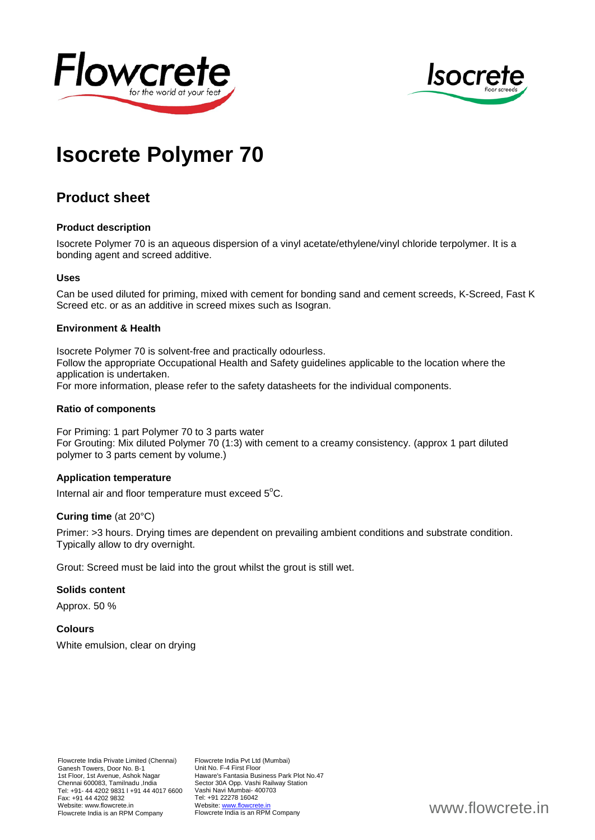



# **Isocrete Polymer 70**

# **Product sheet**

#### **Product description**

Isocrete Polymer 70 is an aqueous dispersion of a vinyl acetate/ethylene/vinyl chloride terpolymer. It is a bonding agent and screed additive.

#### **Uses**

Can be used diluted for priming, mixed with cement for bonding sand and cement screeds, K-Screed, Fast K Screed etc. or as an additive in screed mixes such as Isogran.

#### **Environment & Health**

Isocrete Polymer 70 is solvent-free and practically odourless. Follow the appropriate Occupational Health and Safety guidelines applicable to the location where the application is undertaken. For more information, please refer to the safety datasheets for the individual components.

#### **Ratio of components**

For Priming: 1 part Polymer 70 to 3 parts water For Grouting: Mix diluted Polymer 70 (1:3) with cement to a creamy consistency. (approx 1 part diluted polymer to 3 parts cement by volume.)

# **Application temperature**

Internal air and floor temperature must exceed 5°C.

# **Curing time** (at 20°C)

Primer: >3 hours. Drying times are dependent on prevailing ambient conditions and substrate condition. Typically allow to dry overnight.

Grout: Screed must be laid into the grout whilst the grout is still wet.

#### **Solids content**

Approx. 50 %

# **Colours**

White emulsion, clear on drying